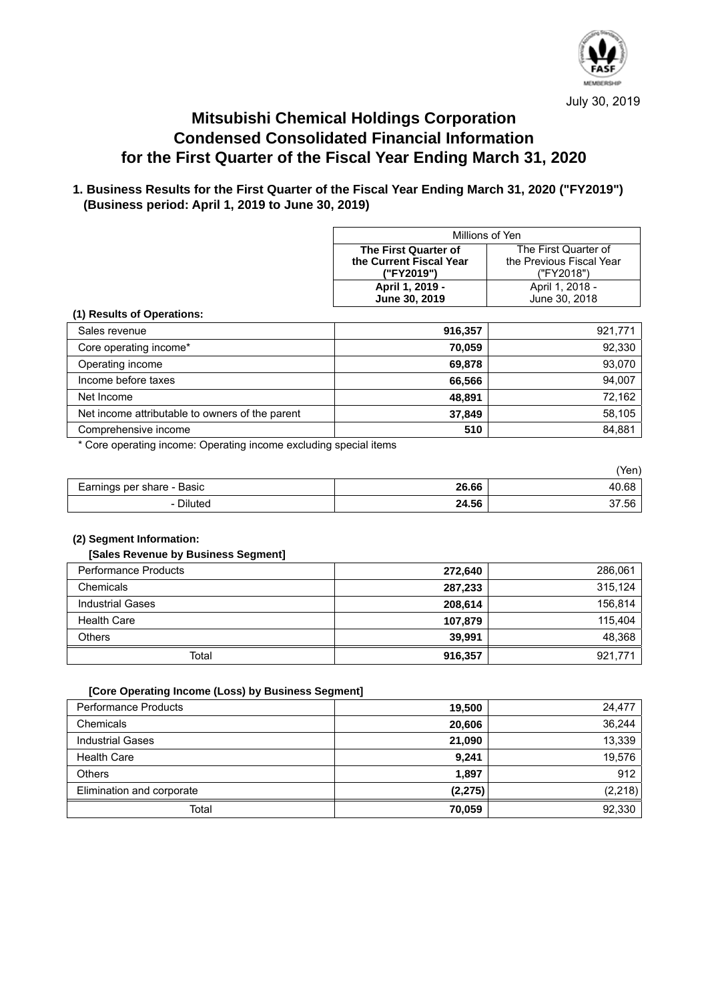

# **Mitsubishi Chemical Holdings Corporation Condensed Consolidated Financial Information for the First Quarter of the Fiscal Year Ending March 31, 2020**

## **1. Business Results for the First Quarter of the Fiscal Year Ending March 31, 2020 ("FY2019") (Business period: April 1, 2019 to June 30, 2019)**

| Millions of Yen                                     |                      |  |
|-----------------------------------------------------|----------------------|--|
| The First Quarter of                                | The First Quarter of |  |
| the Previous Fiscal Year<br>the Current Fiscal Year |                      |  |
| ("FY2019")<br>("FY2018")                            |                      |  |
| April 1, 2019 -<br>April 1, 2018 -                  |                      |  |
| June 30, 2018<br>June 30, 2019                      |                      |  |

#### **(1) Results of Operations:**

| Sales revenue                                   | 916,357 | 921,771 |
|-------------------------------------------------|---------|---------|
| Core operating income*                          | 70.059  | 92,330  |
| Operating income                                | 69,878  | 93,070  |
| Income before taxes                             | 66,566  | 94,007  |
| Net Income                                      | 48,891  | 72,162  |
| Net income attributable to owners of the parent | 37.849  | 58,105  |
| Comprehensive income                            | 510     | 84,881  |

\* Core operating income: Operating income excluding special items

|                            |       | 'Yen) |
|----------------------------|-------|-------|
| Earnings per share - Basic | 26.66 | 40.68 |
| <b>Diluted</b>             | 24.56 | 37.56 |

#### **(2) Segment Information:**

#### **[Sales Revenue by Business Segment]**

| <b>Performance Products</b> | 272,640 | 286.061 |
|-----------------------------|---------|---------|
| Chemicals                   | 287,233 | 315.124 |
| <b>Industrial Gases</b>     | 208.614 | 156.814 |
| <b>Health Care</b>          | 107,879 | 115.404 |
| <b>Others</b>               | 39,991  | 48,368  |
| Total                       | 916,357 | 921,771 |

#### **[Core Operating Income (Loss) by Business Segment]**

| <b>Performance Products</b> | 19,500   | 24.477   |
|-----------------------------|----------|----------|
| Chemicals                   | 20,606   | 36,244   |
| <b>Industrial Gases</b>     | 21,090   | 13,339   |
| <b>Health Care</b>          | 9,241    | 19,576   |
| <b>Others</b>               | 1.897    | 912      |
| Elimination and corporate   | (2, 275) | (2, 218) |
| Total                       | 70,059   | 92.330   |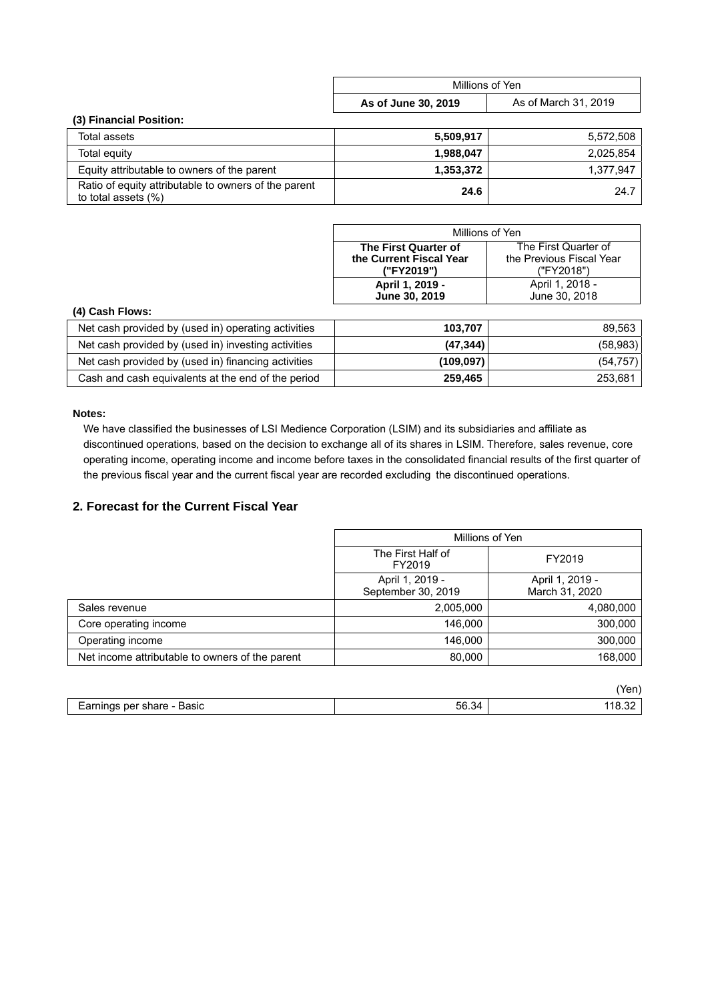|                                                                             | Millions of Yen     |                      |
|-----------------------------------------------------------------------------|---------------------|----------------------|
|                                                                             | As of June 30, 2019 | As of March 31, 2019 |
| (3) Financial Position:                                                     |                     |                      |
| Total assets                                                                | 5,509,917           | 5,572,508            |
| Total equity                                                                | 1,988,047           | 2.025.854            |
| Equity attributable to owners of the parent                                 | 1,353,372           | 1,377,947            |
| Ratio of equity attributable to owners of the parent<br>to total assets (%) | 24.6                | 24.7                 |

| Millions of Yen         |                          |  |
|-------------------------|--------------------------|--|
| The First Quarter of    | The First Quarter of     |  |
| the Current Fiscal Year | the Previous Fiscal Year |  |
| ("FY2019")              | ("FY2018")               |  |
| April 1, 2019 -         | April 1, 2018 -          |  |
| June 30, 2019           | June 30, 2018            |  |

### **(4) Cash Flows:**

| Net cash provided by (used in) operating activities | 103.707    | 89.563    |
|-----------------------------------------------------|------------|-----------|
| Net cash provided by (used in) investing activities | (47, 344)  | (58, 983) |
| Net cash provided by (used in) financing activities | (109, 097) | (54, 757) |
| Cash and cash equivalents at the end of the period  | 259.465    | 253.681   |

## **Notes:**

 We have classified the businesses of LSI Medience Corporation (LSIM) and its subsidiaries and affiliate as discontinued operations, based on the decision to exchange all of its shares in LSIM. Therefore, sales revenue, core operating income, operating income and income before taxes in the consolidated financial results of the first quarter of the previous fiscal year and the current fiscal year are recorded excluding the discontinued operations.

## **2. Forecast for the Current Fiscal Year**

|                                                 | Millions of Yen                       |                                   |
|-------------------------------------------------|---------------------------------------|-----------------------------------|
|                                                 | The First Half of<br>FY2019           | FY2019                            |
|                                                 | April 1, 2019 -<br>September 30, 2019 | April 1, 2019 -<br>March 31, 2020 |
| Sales revenue                                   | 2,005,000                             | 4,080,000                         |
| Core operating income                           | 146,000                               | 300,000                           |
| Operating income                                | 146.000                               | 300,000                           |
| Net income attributable to owners of the parent | 80,000                                | 168,000                           |

|                            |       | en.                |
|----------------------------|-------|--------------------|
| Earnings per share - Basic | 56.34 | $\sim$<br>ے18.3 11 |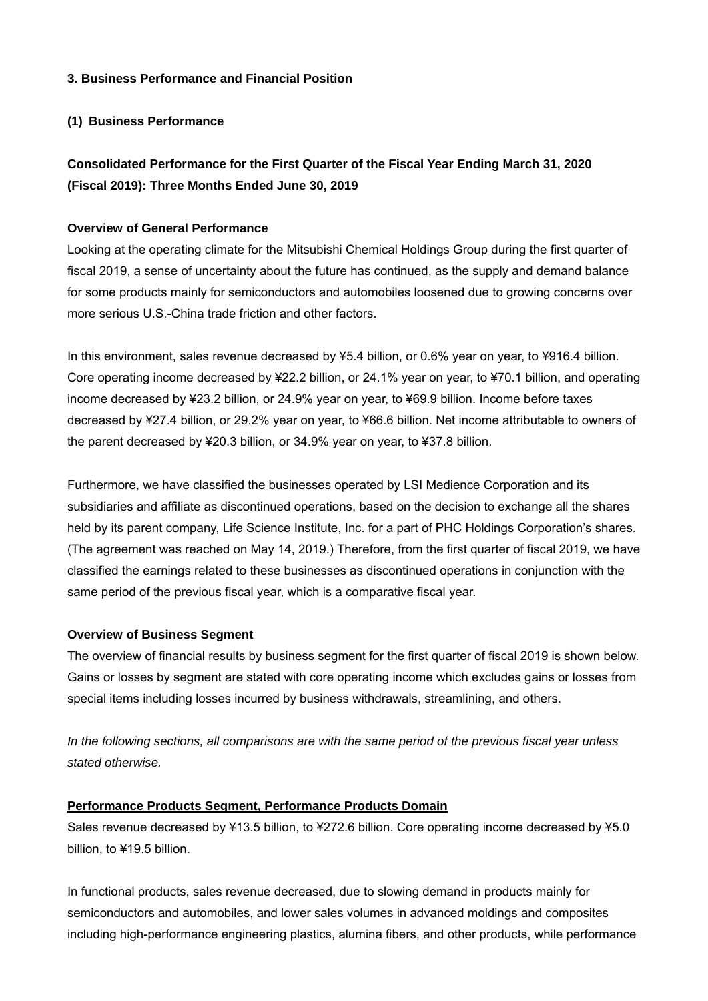## **3. Business Performance and Financial Position**

## **(1) Business Performance**

# **Consolidated Performance for the First Quarter of the Fiscal Year Ending March 31, 2020 (Fiscal 2019): Three Months Ended June 30, 2019**

## **Overview of General Performance**

Looking at the operating climate for the Mitsubishi Chemical Holdings Group during the first quarter of fiscal 2019, a sense of uncertainty about the future has continued, as the supply and demand balance for some products mainly for semiconductors and automobiles loosened due to growing concerns over more serious U.S.-China trade friction and other factors.

In this environment, sales revenue decreased by ¥5.4 billion, or 0.6% year on year, to ¥916.4 billion. Core operating income decreased by ¥22.2 billion, or 24.1% year on year, to ¥70.1 billion, and operating income decreased by ¥23.2 billion, or 24.9% year on year, to ¥69.9 billion. Income before taxes decreased by ¥27.4 billion, or 29.2% year on year, to ¥66.6 billion. Net income attributable to owners of the parent decreased by ¥20.3 billion, or 34.9% year on year, to ¥37.8 billion.

Furthermore, we have classified the businesses operated by LSI Medience Corporation and its subsidiaries and affiliate as discontinued operations, based on the decision to exchange all the shares held by its parent company, Life Science Institute, Inc. for a part of PHC Holdings Corporation's shares. (The agreement was reached on May 14, 2019.) Therefore, from the first quarter of fiscal 2019, we have classified the earnings related to these businesses as discontinued operations in conjunction with the same period of the previous fiscal year, which is a comparative fiscal year.

## **Overview of Business Segment**

The overview of financial results by business segment for the first quarter of fiscal 2019 is shown below. Gains or losses by segment are stated with core operating income which excludes gains or losses from special items including losses incurred by business withdrawals, streamlining, and others.

*In the following sections, all comparisons are with the same period of the previous fiscal year unless stated otherwise.* 

## **Performance Products Segment, Performance Products Domain**

Sales revenue decreased by ¥13.5 billion, to ¥272.6 billion. Core operating income decreased by ¥5.0 billion, to ¥19.5 billion.

In functional products, sales revenue decreased, due to slowing demand in products mainly for semiconductors and automobiles, and lower sales volumes in advanced moldings and composites including high-performance engineering plastics, alumina fibers, and other products, while performance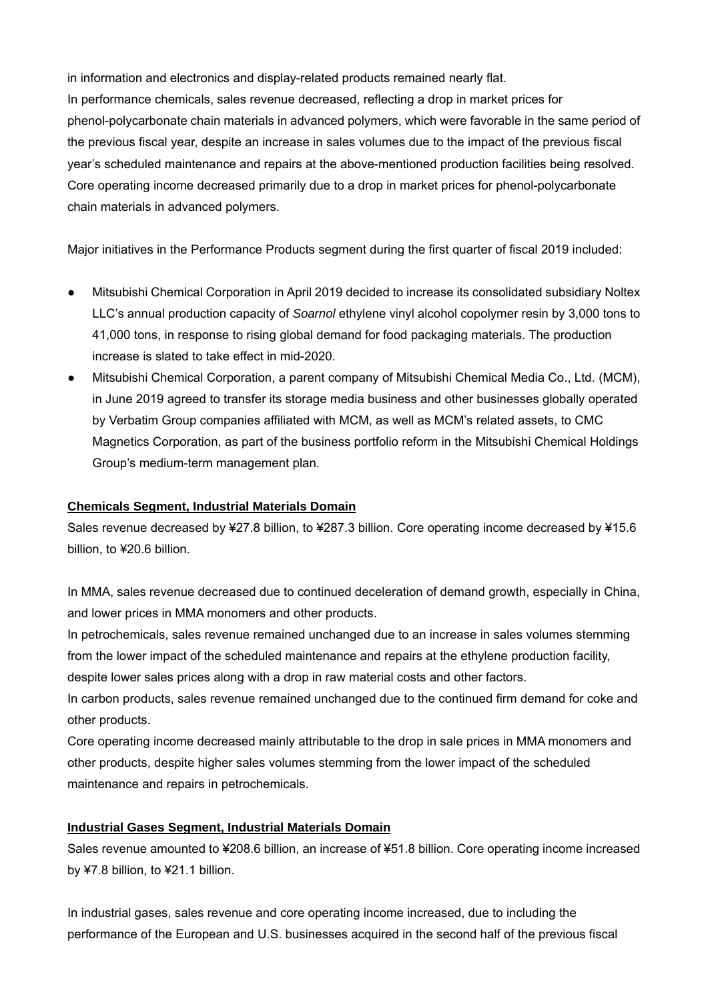in information and electronics and display-related products remained nearly flat. In performance chemicals, sales revenue decreased, reflecting a drop in market prices for phenol-polycarbonate chain materials in advanced polymers, which were favorable in the same period of the previous fiscal year, despite an increase in sales volumes due to the impact of the previous fiscal year's scheduled maintenance and repairs at the above-mentioned production facilities being resolved. Core operating income decreased primarily due to a drop in market prices for phenol-polycarbonate chain materials in advanced polymers.

Major initiatives in the Performance Products segment during the first quarter of fiscal 2019 included:

- Mitsubishi Chemical Corporation in April 2019 decided to increase its consolidated subsidiary Noltex LLC's annual production capacity of *Soarnol* ethylene vinyl alcohol copolymer resin by 3,000 tons to 41,000 tons, in response to rising global demand for food packaging materials. The production increase is slated to take effect in mid-2020.
- Mitsubishi Chemical Corporation, a parent company of Mitsubishi Chemical Media Co., Ltd. (MCM), in June 2019 agreed to transfer its storage media business and other businesses globally operated by Verbatim Group companies affiliated with MCM, as well as MCM's related assets, to CMC Magnetics Corporation, as part of the business portfolio reform in the Mitsubishi Chemical Holdings Group's medium-term management plan.

## **Chemicals Segment, Industrial Materials Domain**

Sales revenue decreased by ¥27.8 billion, to ¥287.3 billion. Core operating income decreased by ¥15.6 billion, to ¥20.6 billion.

In MMA, sales revenue decreased due to continued deceleration of demand growth, especially in China, and lower prices in MMA monomers and other products.

In petrochemicals, sales revenue remained unchanged due to an increase in sales volumes stemming from the lower impact of the scheduled maintenance and repairs at the ethylene production facility, despite lower sales prices along with a drop in raw material costs and other factors.

In carbon products, sales revenue remained unchanged due to the continued firm demand for coke and other products.

Core operating income decreased mainly attributable to the drop in sale prices in MMA monomers and other products, despite higher sales volumes stemming from the lower impact of the scheduled maintenance and repairs in petrochemicals.

# **Industrial Gases Segment, Industrial Materials Domain**

Sales revenue amounted to ¥208.6 billion, an increase of ¥51.8 billion. Core operating income increased by ¥7.8 billion, to ¥21.1 billion.

In industrial gases, sales revenue and core operating income increased, due to including the performance of the European and U.S. businesses acquired in the second half of the previous fiscal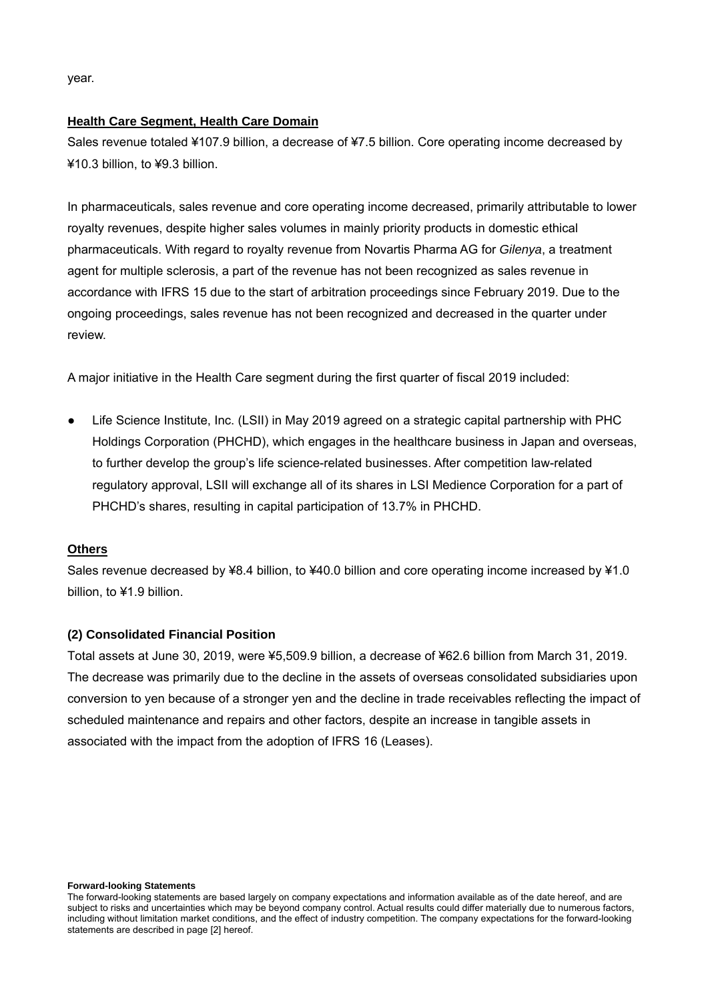year.

## **Health Care Segment, Health Care Domain**

Sales revenue totaled ¥107.9 billion, a decrease of ¥7.5 billion. Core operating income decreased by ¥10.3 billion, to ¥9.3 billion.

In pharmaceuticals, sales revenue and core operating income decreased, primarily attributable to lower royalty revenues, despite higher sales volumes in mainly priority products in domestic ethical pharmaceuticals. With regard to royalty revenue from Novartis Pharma AG for *Gilenya*, a treatment agent for multiple sclerosis, a part of the revenue has not been recognized as sales revenue in accordance with IFRS 15 due to the start of arbitration proceedings since February 2019. Due to the ongoing proceedings, sales revenue has not been recognized and decreased in the quarter under review.

A major initiative in the Health Care segment during the first quarter of fiscal 2019 included:

● Life Science Institute, Inc. (LSII) in May 2019 agreed on a strategic capital partnership with PHC Holdings Corporation (PHCHD), which engages in the healthcare business in Japan and overseas, to further develop the group's life science-related businesses. After competition law-related regulatory approval, LSII will exchange all of its shares in LSI Medience Corporation for a part of PHCHD's shares, resulting in capital participation of 13.7% in PHCHD.

## **Others**

Sales revenue decreased by ¥8.4 billion, to ¥40.0 billion and core operating income increased by ¥1.0 billion, to ¥1.9 billion.

## **(2) Consolidated Financial Position**

Total assets at June 30, 2019, were ¥5,509.9 billion, a decrease of ¥62.6 billion from March 31, 2019. The decrease was primarily due to the decline in the assets of overseas consolidated subsidiaries upon conversion to yen because of a stronger yen and the decline in trade receivables reflecting the impact of scheduled maintenance and repairs and other factors, despite an increase in tangible assets in associated with the impact from the adoption of IFRS 16 (Leases).

#### **Forward-looking Statements**

The forward-looking statements are based largely on company expectations and information available as of the date hereof, and are subject to risks and uncertainties which may be beyond company control. Actual results could differ materially due to numerous factors, including without limitation market conditions, and the effect of industry competition. The company expectations for the forward-looking statements are described in page [2] hereof.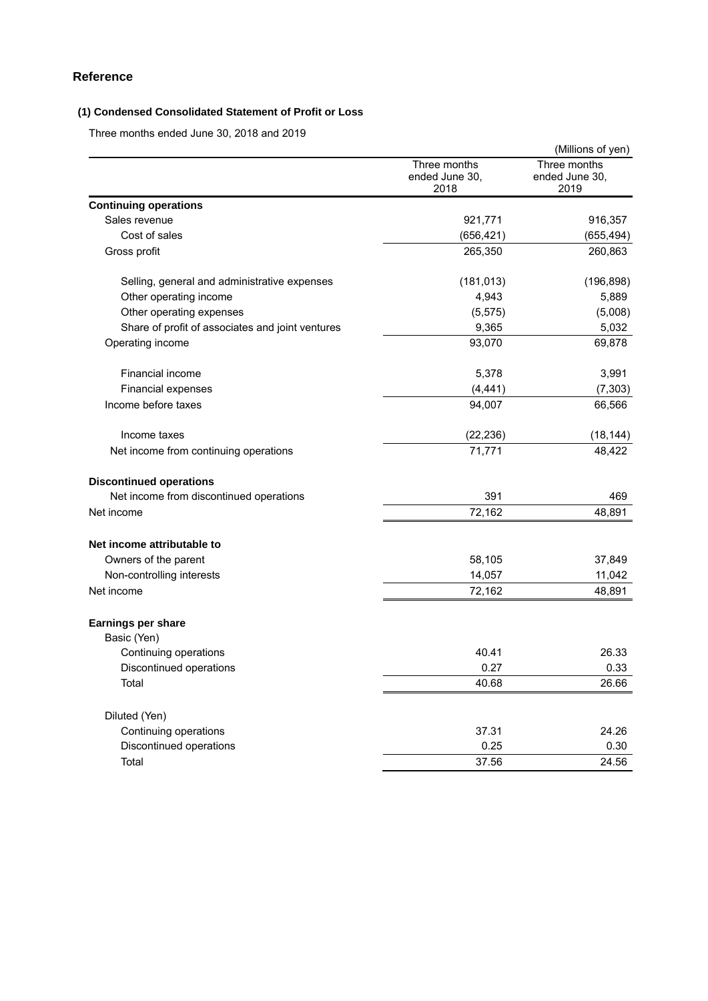## **Reference**

## **(1) Condensed Consolidated Statement of Profit or Loss**

Three months ended June 30, 2018 and 2019

|                                                  |                                        | (Millions of yen)                      |
|--------------------------------------------------|----------------------------------------|----------------------------------------|
|                                                  | Three months<br>ended June 30,<br>2018 | Three months<br>ended June 30,<br>2019 |
| <b>Continuing operations</b>                     |                                        |                                        |
| Sales revenue                                    | 921,771                                | 916,357                                |
| Cost of sales                                    | (656, 421)                             | (655, 494)                             |
| Gross profit                                     | 265,350                                | 260,863                                |
| Selling, general and administrative expenses     | (181, 013)                             | (196, 898)                             |
| Other operating income                           | 4,943                                  | 5,889                                  |
| Other operating expenses                         | (5, 575)                               | (5,008)                                |
| Share of profit of associates and joint ventures | 9,365                                  | 5,032                                  |
| Operating income                                 | 93,070                                 | 69,878                                 |
| Financial income                                 | 5,378                                  | 3,991                                  |
| Financial expenses                               | (4, 441)                               | (7, 303)                               |
| Income before taxes                              | 94,007                                 | 66,566                                 |
| Income taxes                                     | (22, 236)                              | (18, 144)                              |
| Net income from continuing operations            | 71,771                                 | 48,422                                 |
| <b>Discontinued operations</b>                   |                                        |                                        |
| Net income from discontinued operations          | 391                                    | 469                                    |
| Net income                                       | 72,162                                 | 48,891                                 |
| Net income attributable to                       |                                        |                                        |
| Owners of the parent                             | 58,105                                 | 37,849                                 |
| Non-controlling interests                        | 14,057                                 | 11,042                                 |
| Net income                                       | 72,162                                 | 48,891                                 |
| Earnings per share                               |                                        |                                        |
| Basic (Yen)                                      |                                        |                                        |
| Continuing operations                            | 40.41                                  | 26.33                                  |
| Discontinued operations                          | 0.27                                   | 0.33                                   |
| Total                                            | 40.68                                  | 26.66                                  |
| Diluted (Yen)                                    |                                        |                                        |
| Continuing operations                            | 37.31                                  | 24.26                                  |
| Discontinued operations                          | 0.25                                   | 0.30                                   |
| Total                                            | 37.56                                  | 24.56                                  |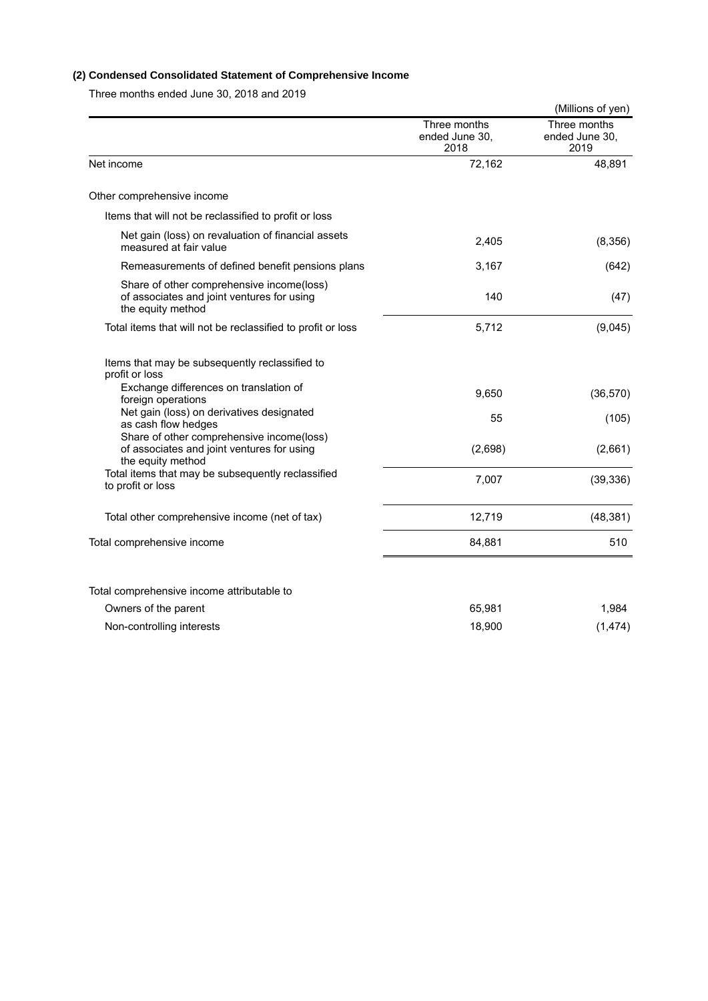## **(2) Condensed Consolidated Statement of Comprehensive Income**

Three months ended June 30, 2018 and 2019

|                                                                                                              |                                        | (Millions of yen)                      |
|--------------------------------------------------------------------------------------------------------------|----------------------------------------|----------------------------------------|
|                                                                                                              | Three months<br>ended June 30,<br>2018 | Three months<br>ended June 30.<br>2019 |
| Net income                                                                                                   | 72,162                                 | 48,891                                 |
| Other comprehensive income                                                                                   |                                        |                                        |
| Items that will not be reclassified to profit or loss                                                        |                                        |                                        |
| Net gain (loss) on revaluation of financial assets<br>measured at fair value                                 | 2,405                                  | (8,356)                                |
| Remeasurements of defined benefit pensions plans                                                             | 3,167                                  | (642)                                  |
| Share of other comprehensive income(loss)<br>of associates and joint ventures for using<br>the equity method | 140                                    | (47)                                   |
| Total items that will not be reclassified to profit or loss                                                  | 5,712                                  | (9,045)                                |
| Items that may be subsequently reclassified to<br>profit or loss                                             |                                        |                                        |
| Exchange differences on translation of<br>foreign operations                                                 | 9,650                                  | (36, 570)                              |
| Net gain (loss) on derivatives designated<br>as cash flow hedges                                             | 55                                     | (105)                                  |
| Share of other comprehensive income(loss)<br>of associates and joint ventures for using<br>the equity method | (2,698)                                | (2,661)                                |
| Total items that may be subsequently reclassified<br>to profit or loss                                       | 7,007                                  | (39, 336)                              |
| Total other comprehensive income (net of tax)                                                                | 12,719                                 | (48, 381)                              |
| Total comprehensive income                                                                                   | 84,881                                 | 510                                    |
|                                                                                                              |                                        |                                        |
| Total comprehensive income attributable to                                                                   |                                        |                                        |
| Owners of the parent                                                                                         | 65,981                                 | 1,984                                  |
| Non-controlling interests                                                                                    | 18,900                                 | (1, 474)                               |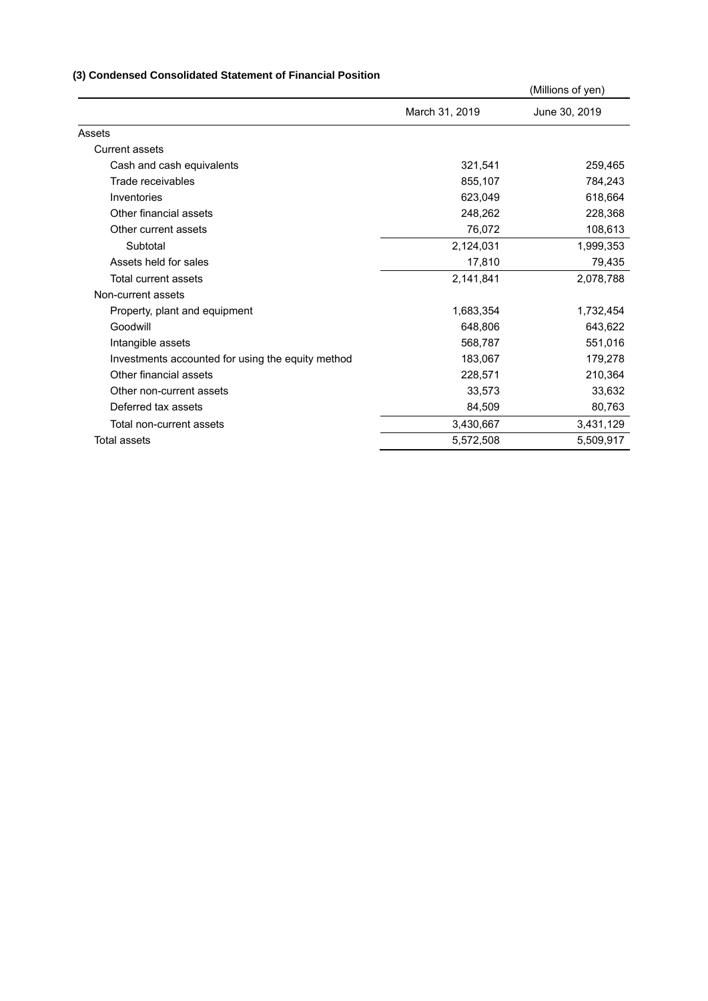## **(3) Condensed Consolidated Statement of Financial Position**

|                                                   |                | (Millions of yen) |
|---------------------------------------------------|----------------|-------------------|
|                                                   | March 31, 2019 | June 30, 2019     |
| Assets                                            |                |                   |
| <b>Current assets</b>                             |                |                   |
| Cash and cash equivalents                         | 321,541        | 259,465           |
| Trade receivables                                 | 855,107        | 784,243           |
| Inventories                                       | 623,049        | 618,664           |
| Other financial assets                            | 248,262        | 228,368           |
| Other current assets                              | 76,072         | 108,613           |
| Subtotal                                          | 2,124,031      | 1,999,353         |
| Assets held for sales                             | 17,810         | 79,435            |
| Total current assets                              | 2,141,841      | 2,078,788         |
| Non-current assets                                |                |                   |
| Property, plant and equipment                     | 1,683,354      | 1,732,454         |
| Goodwill                                          | 648,806        | 643,622           |
| Intangible assets                                 | 568,787        | 551,016           |
| Investments accounted for using the equity method | 183,067        | 179,278           |
| Other financial assets                            | 228,571        | 210,364           |
| Other non-current assets                          | 33,573         | 33,632            |
| Deferred tax assets                               | 84,509         | 80,763            |
| Total non-current assets                          | 3,430,667      | 3,431,129         |
| Total assets                                      | 5,572,508      | 5,509,917         |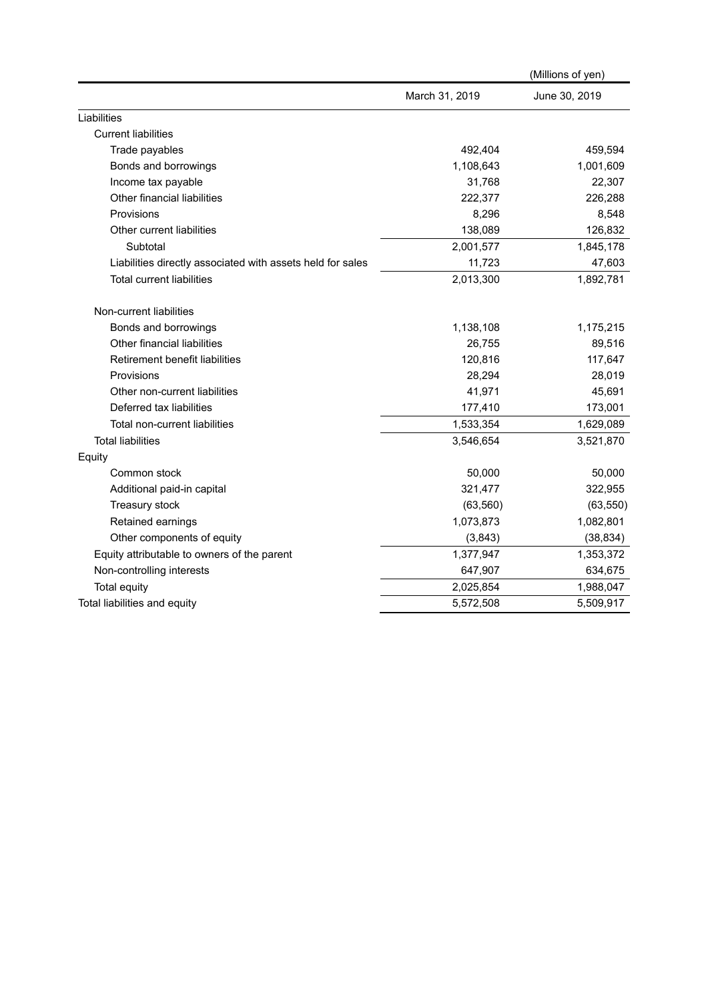|                                                            |                | (Millions of yen) |
|------------------------------------------------------------|----------------|-------------------|
|                                                            | March 31, 2019 | June 30, 2019     |
| Liabilities                                                |                |                   |
| <b>Current liabilities</b>                                 |                |                   |
| Trade payables                                             | 492,404        | 459,594           |
| Bonds and borrowings                                       | 1,108,643      | 1,001,609         |
| Income tax payable                                         | 31,768         | 22,307            |
| Other financial liabilities                                | 222,377        | 226,288           |
| Provisions                                                 | 8,296          | 8,548             |
| Other current liabilities                                  | 138,089        | 126,832           |
| Subtotal                                                   | 2,001,577      | 1,845,178         |
| Liabilities directly associated with assets held for sales | 11,723         | 47,603            |
| <b>Total current liabilities</b>                           | 2,013,300      | 1,892,781         |
| Non-current liabilities                                    |                |                   |
| Bonds and borrowings                                       | 1,138,108      | 1,175,215         |
| Other financial liabilities                                | 26,755         | 89,516            |
| Retirement benefit liabilities                             | 120,816        | 117,647           |
| Provisions                                                 | 28,294         | 28,019            |
| Other non-current liabilities                              | 41,971         | 45,691            |
| Deferred tax liabilities                                   | 177,410        | 173,001           |
| Total non-current liabilities                              | 1,533,354      | 1,629,089         |
| <b>Total liabilities</b>                                   | 3,546,654      | 3,521,870         |
| Equity                                                     |                |                   |
| Common stock                                               | 50,000         | 50,000            |
| Additional paid-in capital                                 | 321,477        | 322,955           |
| Treasury stock                                             | (63, 560)      | (63, 550)         |
| Retained earnings                                          | 1,073,873      | 1,082,801         |
| Other components of equity                                 | (3,843)        | (38, 834)         |
| Equity attributable to owners of the parent                | 1,377,947      | 1,353,372         |
| Non-controlling interests                                  | 647,907        | 634,675           |
| Total equity                                               | 2,025,854      | 1,988,047         |
| Total liabilities and equity                               | 5,572,508      | 5,509,917         |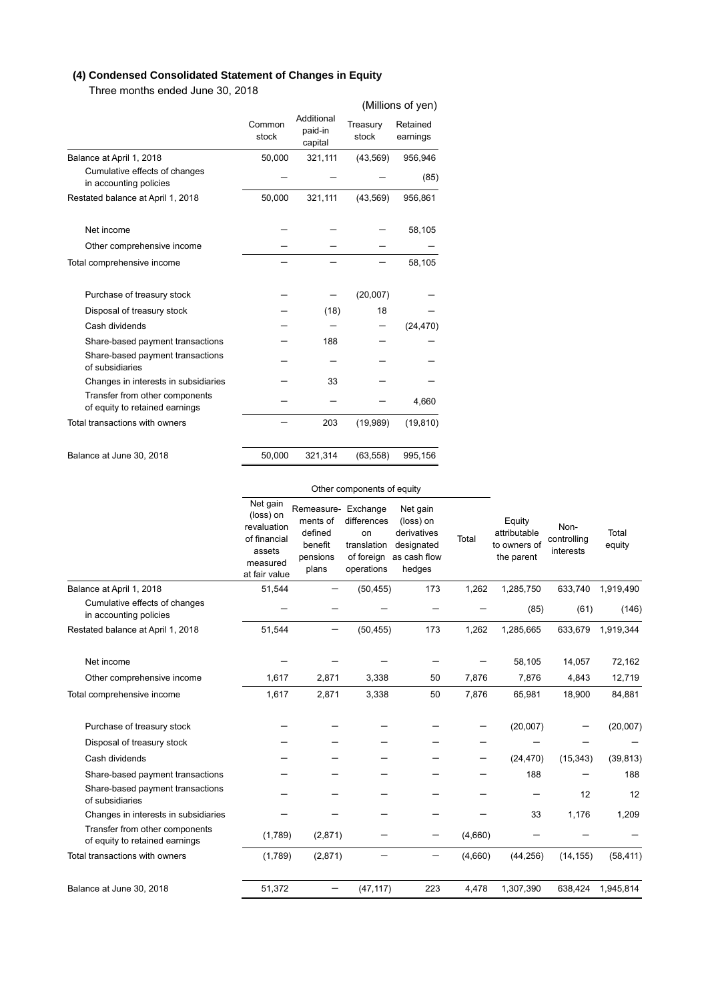## **(4) Condensed Consolidated Statement of Changes in Equity**

Three months ended June 30, 2018

|                                                                  |                 |                                  |                   | (Millions of yen)    |
|------------------------------------------------------------------|-----------------|----------------------------------|-------------------|----------------------|
|                                                                  | Common<br>stock | Additional<br>paid-in<br>capital | Treasury<br>stock | Retained<br>earnings |
| Balance at April 1, 2018                                         | 50,000          | 321,111                          | (43, 569)         | 956,946              |
| Cumulative effects of changes<br>in accounting policies          |                 |                                  |                   | (85)                 |
| Restated balance at April 1, 2018                                | 50,000          | 321,111                          | (43, 569)         | 956,861              |
| Net income                                                       |                 |                                  |                   | 58,105               |
| Other comprehensive income                                       |                 |                                  |                   |                      |
| Total comprehensive income                                       |                 |                                  |                   | 58,105               |
|                                                                  |                 |                                  |                   |                      |
| Purchase of treasury stock                                       |                 |                                  | (20,007)          |                      |
| Disposal of treasury stock                                       |                 | (18)                             | 18                |                      |
| Cash dividends                                                   |                 |                                  |                   | (24, 470)            |
| Share-based payment transactions                                 |                 | 188                              |                   |                      |
| Share-based payment transactions<br>of subsidiaries              |                 |                                  |                   |                      |
| Changes in interests in subsidiaries                             |                 | 33                               |                   |                      |
| Transfer from other components<br>of equity to retained earnings |                 |                                  |                   | 4,660                |
| Total transactions with owners                                   |                 | 203                              | (19,989)          | (19, 810)            |
|                                                                  |                 |                                  |                   |                      |
| Balance at June 30, 2018                                         | 50,000          | 321,314                          | (63, 558)         | 995,156              |

|                                                                  | Other components of equity                                                                  |                                                                            |                                                              |                                                                              |         |                                                      |                                  |                 |
|------------------------------------------------------------------|---------------------------------------------------------------------------------------------|----------------------------------------------------------------------------|--------------------------------------------------------------|------------------------------------------------------------------------------|---------|------------------------------------------------------|----------------------------------|-----------------|
|                                                                  | Net gain<br>(loss) on<br>revaluation<br>of financial<br>assets<br>measured<br>at fair value | Remeasure- Exchange<br>ments of<br>defined<br>benefit<br>pensions<br>plans | differences<br>on<br>translation<br>of foreign<br>operations | Net gain<br>(loss) on<br>derivatives<br>designated<br>as cash flow<br>hedges | Total   | Equity<br>attributable<br>to owners of<br>the parent | Non-<br>controlling<br>interests | Total<br>equity |
| Balance at April 1, 2018                                         | 51,544                                                                                      |                                                                            | (50, 455)                                                    | 173                                                                          | 1,262   | 1,285,750                                            | 633,740                          | 1,919,490       |
| Cumulative effects of changes<br>in accounting policies          |                                                                                             |                                                                            |                                                              |                                                                              |         | (85)                                                 | (61)                             | (146)           |
| Restated balance at April 1, 2018                                | 51,544                                                                                      |                                                                            | (50, 455)                                                    | 173                                                                          | 1,262   | 1,285,665                                            | 633,679                          | 1,919,344       |
| Net income                                                       |                                                                                             |                                                                            |                                                              |                                                                              |         | 58,105                                               | 14,057                           | 72,162          |
| Other comprehensive income                                       | 1,617                                                                                       | 2,871                                                                      | 3,338                                                        | 50                                                                           | 7,876   | 7,876                                                | 4,843                            | 12,719          |
| Total comprehensive income                                       | 1,617                                                                                       | 2,871                                                                      | 3,338                                                        | 50                                                                           | 7,876   | 65,981                                               | 18,900                           | 84,881          |
| Purchase of treasury stock                                       |                                                                                             |                                                                            |                                                              |                                                                              |         | (20,007)                                             |                                  | (20,007)        |
| Disposal of treasury stock                                       |                                                                                             |                                                                            |                                                              |                                                                              |         |                                                      |                                  |                 |
| Cash dividends                                                   |                                                                                             |                                                                            |                                                              |                                                                              |         | (24, 470)                                            | (15, 343)                        | (39, 813)       |
| Share-based payment transactions                                 |                                                                                             |                                                                            |                                                              |                                                                              |         | 188                                                  |                                  | 188             |
| Share-based payment transactions<br>of subsidiaries              |                                                                                             |                                                                            |                                                              |                                                                              |         |                                                      | 12                               | 12              |
| Changes in interests in subsidiaries                             |                                                                                             |                                                                            |                                                              |                                                                              |         | 33                                                   | 1,176                            | 1,209           |
| Transfer from other components<br>of equity to retained earnings | (1,789)                                                                                     | (2,871)                                                                    |                                                              |                                                                              | (4,660) |                                                      |                                  |                 |
| Total transactions with owners                                   | (1,789)                                                                                     | (2,871)                                                                    |                                                              |                                                                              | (4,660) | (44, 256)                                            | (14, 155)                        | (58, 411)       |
| Balance at June 30, 2018                                         | 51,372                                                                                      |                                                                            | (47, 117)                                                    | 223                                                                          | 4,478   | 1,307,390                                            | 638,424                          | 1,945,814       |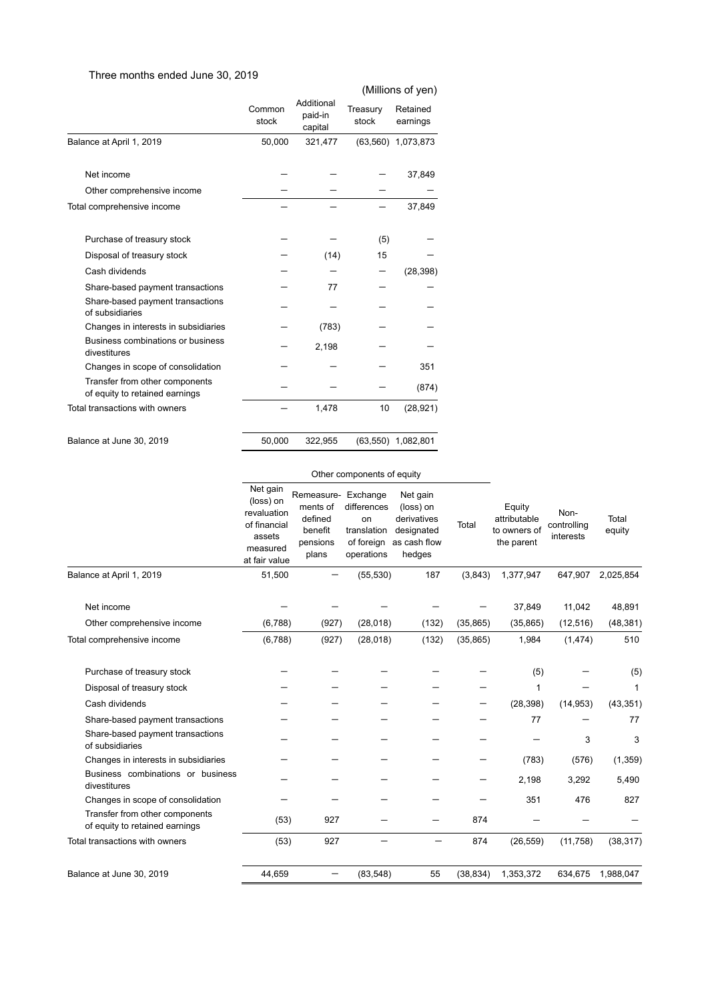## Three months ended June 30, 2019

|                                                                  |                 |                                  |                   | (Millions of yen)    |
|------------------------------------------------------------------|-----------------|----------------------------------|-------------------|----------------------|
|                                                                  | Common<br>stock | Additional<br>paid-in<br>capital | Treasury<br>stock | Retained<br>earnings |
| Balance at April 1, 2019                                         | 50,000          | 321,477                          |                   | (63,560) 1,073,873   |
| Net income                                                       |                 |                                  |                   | 37,849               |
| Other comprehensive income                                       |                 |                                  |                   |                      |
| Total comprehensive income                                       |                 |                                  |                   | 37,849               |
| Purchase of treasury stock                                       |                 |                                  | (5)               |                      |
| Disposal of treasury stock                                       |                 | (14)                             | 15                |                      |
| Cash dividends                                                   |                 |                                  |                   | (28, 398)            |
| Share-based payment transactions                                 |                 | 77                               |                   |                      |
| Share-based payment transactions<br>of subsidiaries              |                 |                                  |                   |                      |
| Changes in interests in subsidiaries                             |                 | (783)                            |                   |                      |
| Business combinations or business<br>divestitures                |                 | 2,198                            |                   |                      |
| Changes in scope of consolidation                                |                 |                                  |                   | 351                  |
| Transfer from other components<br>of equity to retained earnings |                 |                                  |                   | (874)                |
| Total transactions with owners                                   |                 | 1,478                            | 10                | (28, 921)            |
| Balance at June 30, 2019                                         | 50,000          | 322,955                          |                   | (63,550) 1,082,801   |

#### Other components of equity

|                                                                  | Net gain<br>(loss) on<br>revaluation<br>of financial<br>assets<br>measured<br>at fair value | Remeasure- Exchange<br>ments of<br>defined<br>benefit<br>pensions<br>plans | differences<br>on<br>translation<br>of foreign<br>operations | Net gain<br>(loss) on<br>derivatives<br>designated<br>as cash flow<br>hedges | Total     | Equity<br>attributable<br>to owners of<br>the parent | Non-<br>controlling<br>interests | Total<br>equity |
|------------------------------------------------------------------|---------------------------------------------------------------------------------------------|----------------------------------------------------------------------------|--------------------------------------------------------------|------------------------------------------------------------------------------|-----------|------------------------------------------------------|----------------------------------|-----------------|
| Balance at April 1, 2019                                         | 51,500                                                                                      |                                                                            | (55, 530)                                                    | 187                                                                          | (3,843)   | 1,377,947                                            | 647,907                          | 2,025,854       |
| Net income                                                       |                                                                                             |                                                                            |                                                              |                                                                              |           | 37,849                                               | 11,042                           | 48,891          |
| Other comprehensive income                                       | (6,788)                                                                                     | (927)                                                                      | (28, 018)                                                    | (132)                                                                        | (35, 865) | (35, 865)                                            | (12, 516)                        | (48, 381)       |
| Total comprehensive income                                       | (6,788)                                                                                     | (927)                                                                      | (28, 018)                                                    | (132)                                                                        | (35, 865) | 1,984                                                | (1, 474)                         | 510             |
| Purchase of treasury stock                                       |                                                                                             |                                                                            |                                                              |                                                                              |           | (5)                                                  |                                  | (5)             |
| Disposal of treasury stock                                       |                                                                                             |                                                                            |                                                              |                                                                              |           | 1                                                    |                                  | 1               |
| Cash dividends                                                   |                                                                                             |                                                                            |                                                              |                                                                              |           | (28, 398)                                            | (14, 953)                        | (43, 351)       |
| Share-based payment transactions                                 |                                                                                             |                                                                            |                                                              |                                                                              |           | 77                                                   |                                  | 77              |
| Share-based payment transactions<br>of subsidiaries              |                                                                                             |                                                                            |                                                              |                                                                              |           |                                                      | 3                                | 3               |
| Changes in interests in subsidiaries                             |                                                                                             |                                                                            |                                                              |                                                                              |           | (783)                                                | (576)                            | (1, 359)        |
| Business combinations or business<br>divestitures                |                                                                                             |                                                                            |                                                              |                                                                              |           | 2,198                                                | 3,292                            | 5,490           |
| Changes in scope of consolidation                                |                                                                                             |                                                                            |                                                              |                                                                              |           | 351                                                  | 476                              | 827             |
| Transfer from other components<br>of equity to retained earnings | (53)                                                                                        | 927                                                                        |                                                              |                                                                              | 874       |                                                      |                                  |                 |
| Total transactions with owners                                   | (53)                                                                                        | 927                                                                        |                                                              |                                                                              | 874       | (26, 559)                                            | (11, 758)                        | (38, 317)       |
| Balance at June 30, 2019                                         | 44,659                                                                                      |                                                                            | (83,548)                                                     | 55                                                                           | (38, 834) | 1,353,372                                            | 634,675                          | 1,988,047       |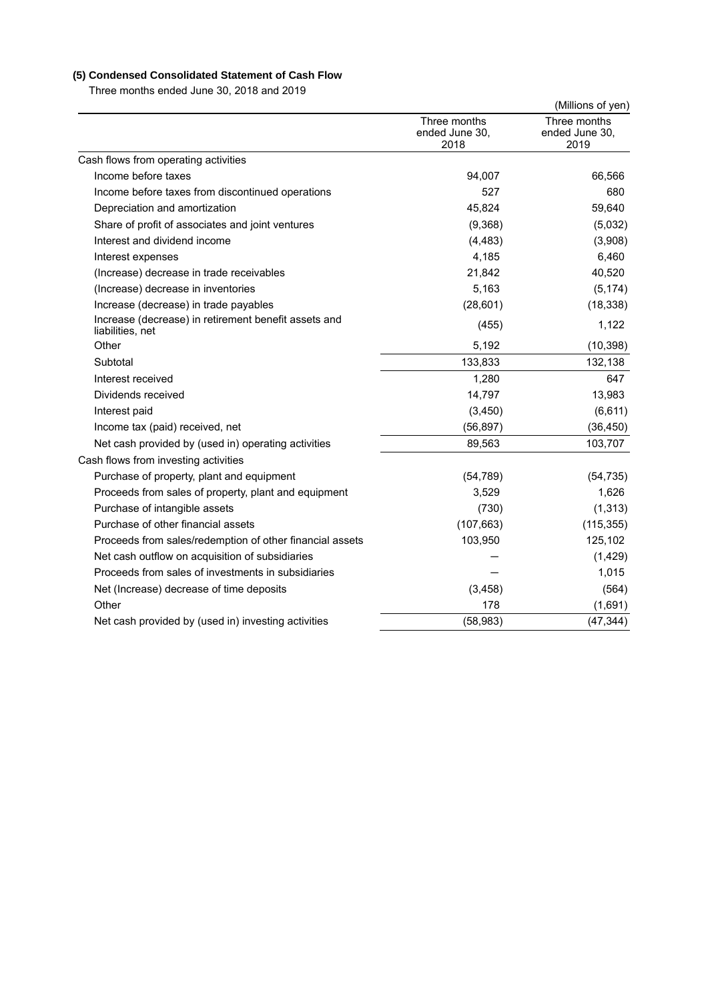## **(5) Condensed Consolidated Statement of Cash Flow**

Three months ended June 30, 2018 and 2019

|                                                                          |                                        | (Millions of yen)                      |
|--------------------------------------------------------------------------|----------------------------------------|----------------------------------------|
|                                                                          | Three months<br>ended June 30,<br>2018 | Three months<br>ended June 30,<br>2019 |
| Cash flows from operating activities                                     |                                        |                                        |
| Income before taxes                                                      | 94,007                                 | 66,566                                 |
| Income before taxes from discontinued operations                         | 527                                    | 680                                    |
| Depreciation and amortization                                            | 45,824                                 | 59,640                                 |
| Share of profit of associates and joint ventures                         | (9,368)                                | (5,032)                                |
| Interest and dividend income                                             | (4, 483)                               | (3,908)                                |
| Interest expenses                                                        | 4,185                                  | 6,460                                  |
| (Increase) decrease in trade receivables                                 | 21,842                                 | 40,520                                 |
| (Increase) decrease in inventories                                       | 5,163                                  | (5, 174)                               |
| Increase (decrease) in trade payables                                    | (28, 601)                              | (18, 338)                              |
| Increase (decrease) in retirement benefit assets and<br>liabilities, net | (455)                                  | 1,122                                  |
| Other                                                                    | 5,192                                  | (10, 398)                              |
| Subtotal                                                                 | 133,833                                | 132,138                                |
| Interest received                                                        | 1,280                                  | 647                                    |
| Dividends received                                                       | 14,797                                 | 13,983                                 |
| Interest paid                                                            | (3,450)                                | (6,611)                                |
| Income tax (paid) received, net                                          | (56, 897)                              | (36, 450)                              |
| Net cash provided by (used in) operating activities                      | 89,563                                 | 103,707                                |
| Cash flows from investing activities                                     |                                        |                                        |
| Purchase of property, plant and equipment                                | (54, 789)                              | (54, 735)                              |
| Proceeds from sales of property, plant and equipment                     | 3,529                                  | 1,626                                  |
| Purchase of intangible assets                                            | (730)                                  | (1, 313)                               |
| Purchase of other financial assets                                       | (107, 663)                             | (115, 355)                             |
| Proceeds from sales/redemption of other financial assets                 | 103,950                                | 125,102                                |
| Net cash outflow on acquisition of subsidiaries                          |                                        | (1, 429)                               |
| Proceeds from sales of investments in subsidiaries                       |                                        | 1,015                                  |
| Net (Increase) decrease of time deposits                                 | (3, 458)                               | (564)                                  |
| Other                                                                    | 178                                    | (1,691)                                |
| Net cash provided by (used in) investing activities                      | (58, 983)                              | (47, 344)                              |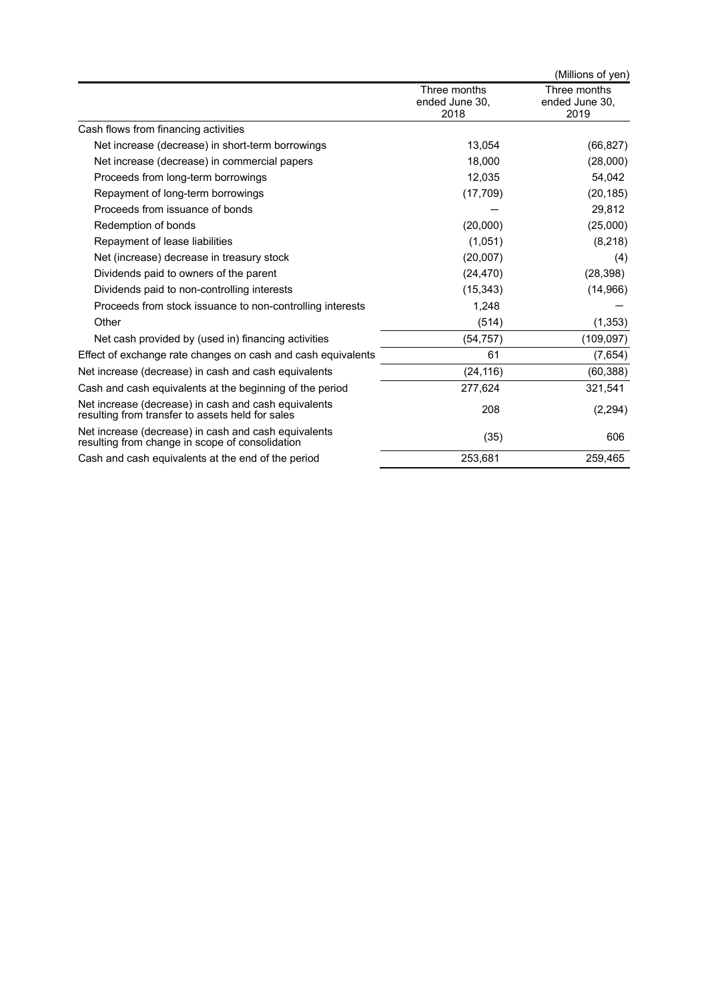|                                                                                                          |                                        | (Millions of yen)                      |
|----------------------------------------------------------------------------------------------------------|----------------------------------------|----------------------------------------|
|                                                                                                          | Three months<br>ended June 30,<br>2018 | Three months<br>ended June 30.<br>2019 |
| Cash flows from financing activities                                                                     |                                        |                                        |
| Net increase (decrease) in short-term borrowings                                                         | 13.054                                 | (66, 827)                              |
| Net increase (decrease) in commercial papers                                                             | 18,000                                 | (28,000)                               |
| Proceeds from long-term borrowings                                                                       | 12,035                                 | 54,042                                 |
| Repayment of long-term borrowings                                                                        | (17, 709)                              | (20, 185)                              |
| Proceeds from issuance of bonds                                                                          |                                        | 29,812                                 |
| Redemption of bonds                                                                                      | (20,000)                               | (25,000)                               |
| Repayment of lease liabilities                                                                           | (1,051)                                | (8, 218)                               |
| Net (increase) decrease in treasury stock                                                                | (20,007)                               | (4)                                    |
| Dividends paid to owners of the parent                                                                   | (24, 470)                              | (28, 398)                              |
| Dividends paid to non-controlling interests                                                              | (15, 343)                              | (14,966)                               |
| Proceeds from stock issuance to non-controlling interests                                                | 1,248                                  |                                        |
| Other                                                                                                    | (514)                                  | (1, 353)                               |
| Net cash provided by (used in) financing activities                                                      | (54, 757)                              | (109, 097)                             |
| Effect of exchange rate changes on cash and cash equivalents                                             | 61                                     | (7,654)                                |
| Net increase (decrease) in cash and cash equivalents                                                     | (24, 116)                              | (60, 388)                              |
| Cash and cash equivalents at the beginning of the period                                                 | 277,624                                | 321,541                                |
| Net increase (decrease) in cash and cash equivalents<br>resulting from transfer to assets held for sales | 208                                    | (2, 294)                               |
| Net increase (decrease) in cash and cash equivalents<br>resulting from change in scope of consolidation  | (35)                                   | 606                                    |
| Cash and cash equivalents at the end of the period                                                       | 253,681                                | 259,465                                |